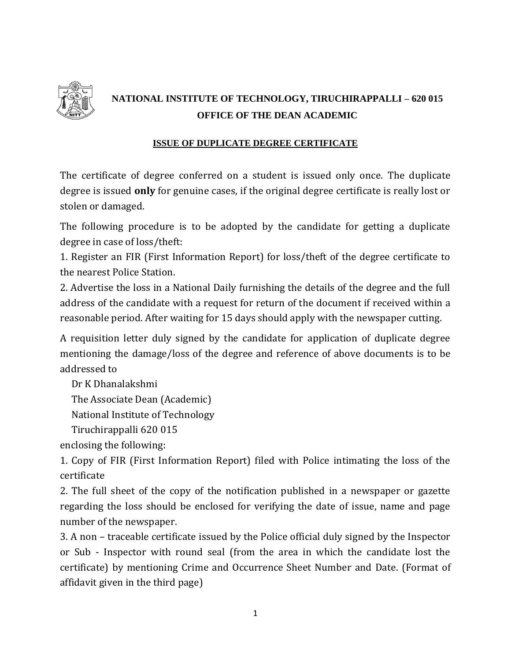

# **NATIONAL INSTITUTE OF TECHNOLOGY, TIRUCHIRAPPALLI – 620 015 OFFICE OF THE DEAN ACADEMIC**

#### **ISSUE OF DUPLICATE DEGREE CERTIFICATE**

The certificate of degree conferred on a student is issued only once. The duplicate degree is issued **only** for genuine cases, if the original degree certificate is really lost or stolen or damaged.

The following procedure is to be adopted by the candidate for getting a duplicate degree in case of loss/theft:

1. Register an FIR (First Information Report) for loss/theft of the degree certificate to the nearest Police Station.

2. Advertise the loss in a National Daily furnishing the details of the degree and the full address of the candidate with a request for return of the document if received within a reasonable period. After waiting for 15 days should apply with the newspaper cutting.

A requisition letter duly signed by the candidate for application of duplicate degree mentioning the damage/loss of the degree and reference of above documents is to be addressed to

Dr K Dhanalakshmi

The Associate Dean (Academic)

National Institute of Technology

Tiruchirappalli 620 015

enclosing the following:

1. Copy of FIR (First Information Report) filed with Police intimating the loss of the certificate

2. The full sheet of the copy of the notification published in a newspaper or gazette regarding the loss should be enclosed for verifying the date of issue, name and page number of the newspaper.

3. A non – traceable certificate issued by the Police official duly signed by the Inspector or Sub - Inspector with round seal (from the area in which the candidate lost the certificate) by mentioning Crime and Occurrence Sheet Number and Date. (Format of affidavit given in the third page)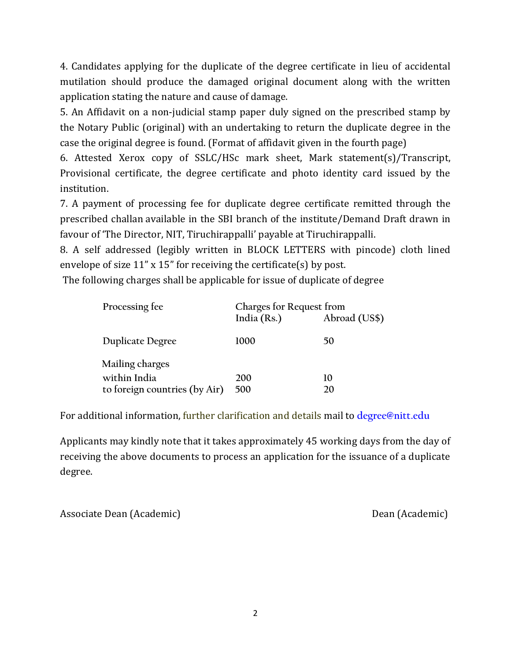4. Candidates applying for the duplicate of the degree certificate in lieu of accidental mutilation should produce the damaged original document along with the written application stating the nature and cause of damage.

5. An Affidavit on a non-judicial stamp paper duly signed on the prescribed stamp by the Notary Public (original) with an undertaking to return the duplicate degree in the case the original degree is found. (Format of affidavit given in the fourth page)

6. Attested Xerox copy of SSLC/HSc mark sheet, Mark statement(s)/Transcript, Provisional certificate, the degree certificate and photo identity card issued by the institution.

7. A payment of processing fee for duplicate degree certificate remitted through the prescribed challan available in the SBI branch of the institute/Demand Draft drawn in favour of 'The Director, NIT, Tiruchirappalli' payable at Tiruchirappalli.

8. A self addressed (legibly written in BLOCK LETTERS with pincode) cloth lined envelope of size 11" x 15" for receiving the certificate(s) by post.

The following charges shall be applicable for issue of duplicate of degree

| Processing fee                | Charges for Request from<br>India $(Rs.)$<br>Abroad (US\$) |    |
|-------------------------------|------------------------------------------------------------|----|
| <b>Duplicate Degree</b>       | 1000                                                       | 50 |
| Mailing charges               |                                                            |    |
| within India                  | 200                                                        | 10 |
| to foreign countries (by Air) | 500                                                        | 20 |

For additional information, further clarification and details mail to **[degree@nitt.edu](mailto:degree@nitt.edu)**

Applicants may kindly note that it takes approximately 45 working days from the day of receiving the above documents to process an application for the issuance of a duplicate degree.

Associate Dean (Academic) and Dean (Academic) bean (Academic)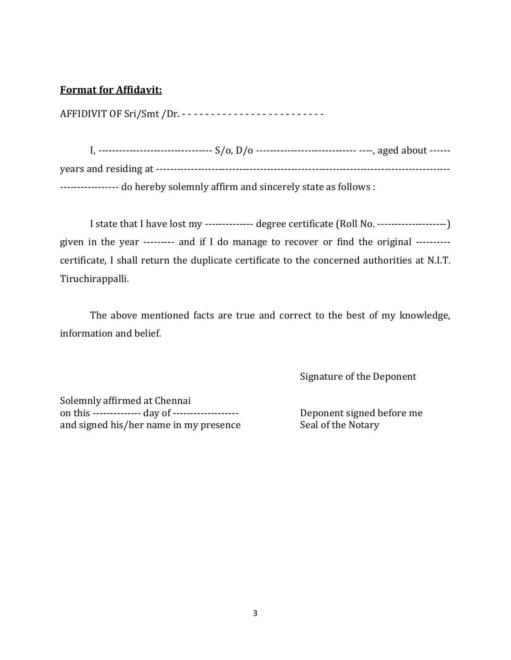#### **Format for Affidavit:**

AFFIDIVIT OF Sri/Smt /Dr. - - - - - - - - - - - - - - - - - - - - - - - - -

I, --------------------------------- S/o, D/o ------------------------------- ----, aged about -----years and residing at ------------------------------------------------------------------------------------- ----------------- do hereby solemnly affirm and sincerely state as follows :

I state that I have lost my -------------- degree certificate (Roll No. --------------------) given in the year --------- and if I do manage to recover or find the original --------- certificate, I shall return the duplicate certificate to the concerned authorities at N.I.T. Tiruchirappalli.

The above mentioned facts are true and correct to the best of my knowledge, information and belief.

Signature of the Deponent

Solemnly affirmed at Chennai on this -------------- day of ------------------- Deponent signed before me and signed his/her name in my presence Seal of the Notary